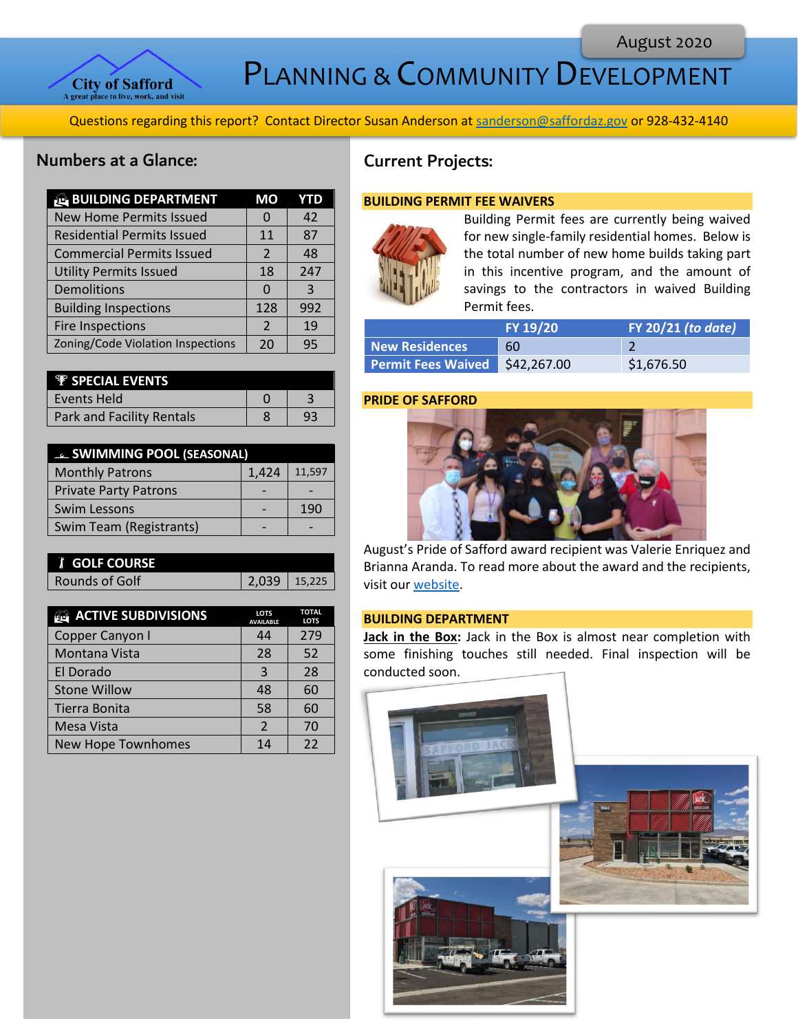

PLANNING & COMMUNITY DEVELOPMENT

Questions regarding this report? Contact Director Susan Anderson at [sanderson@saffordaz.gov](mailto:sanderson@saffordaz.gov) or 928-432-4140

## Numbers at a Glance:

| <b>BUILDING DEPARTMENT</b>        | МO             | YTD |
|-----------------------------------|----------------|-----|
| <b>New Home Permits Issued</b>    | $\Omega$       | 42  |
| <b>Residential Permits Issued</b> | 11             | 87  |
| <b>Commercial Permits Issued</b>  | $\mathcal{P}$  | 48  |
| <b>Utility Permits Issued</b>     | 18             | 247 |
| Demolitions                       | O              | 3   |
| <b>Building Inspections</b>       | 128            | 992 |
| <b>Fire Inspections</b>           | $\overline{2}$ | 19  |
| Zoning/Code Violation Inspections | 20             | 95  |

| <b><i>V SPECIAL EVENTS</i></b>   |  |
|----------------------------------|--|
| Events Held                      |  |
| <b>Park and Facility Rentals</b> |  |

| <b>ELL SWIMMING POOL (SEASONAL)</b> |       |        |
|-------------------------------------|-------|--------|
| <b>Monthly Patrons</b>              | 1,424 | 11,597 |
| <b>Private Party Patrons</b>        |       |        |
| Swim Lessons                        |       | 190    |
| Swim Team (Registrants)             |       |        |

| <b>T GOLF COURSE</b> |       |
|----------------------|-------|
| Rounds of Golf       | 2,039 |

| <b>ACTIVE SUBDIVISIONS</b> | <b>LOTS</b><br><b>AVAILABLE</b> | <b>TOTAL</b><br><b>LOTS</b> |
|----------------------------|---------------------------------|-----------------------------|
| Copper Canyon I            | 44                              | 279                         |
| Montana Vista              | 28                              | 52                          |
| El Dorado                  | 3                               | 28                          |
| <b>Stone Willow</b>        | 48                              | 60                          |
| Tierra Bonita              | 58                              | 60                          |
| Mesa Vista                 | $\mathfrak{p}$                  | 70                          |
| <b>New Hope Townhomes</b>  | 14                              | 22                          |

# Current Projects:

#### **BUILDING PERMIT FEE WAIVERS**



Building Permit fees are currently being waived for new single-family residential homes. Below is the total number of new home builds taking part in this incentive program, and the amount of savings to the contractors in waived Building Permit fees.

|                                | FY 19/20 | <b>FY 20/21 (to date)</b> |
|--------------------------------|----------|---------------------------|
| <b>New Residences</b>          | 60       |                           |
| Permit Fees Waived \$42,267.00 |          | \$1,676.50                |

#### **PRIDE OF SAFFORD**



August's Pride of Safford award recipient was Valerie Enriquez and Brianna Aranda. To read more about the award and the recipients, visit ou[r website.](http://az-safford.civicplus.com/288/Pride-of-Safford-Award)

#### **BUILDING DEPARTMENT**

 $\overline{1}$ 

 $15,225$ 

**Jack in the Box:** Jack in the Box is almost near completion with some finishing touches still needed. Final inspection will be conducted soon.